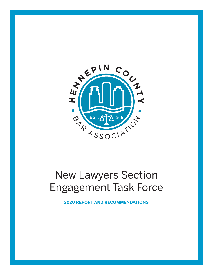

# New Lawyers Section Engagement Task Force

**2020 REPORT AND RECOMMENDATIONS**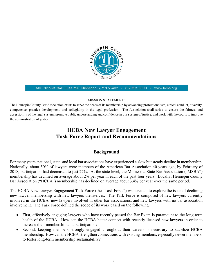

600 Nicollet Mall, Suite 390, Minneapolis, MN 55402 · 612-752-6600 www.hcba.org

#### MISSION STATEMENT:

The Hennepin County Bar Association exists to serve the needs of its membership by advancing professionalism, ethical conduct, diversity, competence, practice development, and collegiality in the legal profession. The Association shall strive to ensure the fairness and accessibility of the legal system, promote public understanding and confidence in our system of justice, and work with the courts to improve the administration of justice.

# HCBA New Lawyer Engagement Task Force Report and Recommendations

# Background

For many years, national, state, and local bar associations have experienced a slow but steady decline in membership. Nationally, about 50% of lawyers were members of the American Bar Association 40 years ago; by February of 2018, participation had decreased to just 22%. At the state level, the Minnesota State Bar Association ("MSBA") membership has declined on average about 2% per year in each of the past four years. Locally, Hennepin County Bar Association ("HCBA") membership has declined on average about 3.4% per year over the same period.

The HCBA New Lawyer Engagement Task Force (the "Task Force") was created to explore the issue of declining new lawyer membership with new lawyers themselves. The Task Force is composed of new lawyers currently involved in the HCBA, new lawyers involved in other bar associations, and new lawyers with no bar association involvement. The Task Force defined the scope of its work based on the following:

- First, effectively engaging lawyers who have recently passed the Bar Exam is paramount to the long-term health of the HCBA. How can the HCBA better connect with recently licensed new lawyers in order to increase their membership and participation?
- Second, keeping members strongly engaged throughout their careers is necessary to stabilize HCBA membership. How can the HCBA strengthen connections with existing members, especially newer members, to foster long-term membership sustainability?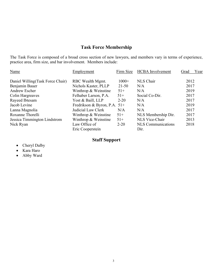# Task Force Membership

The Task Force is composed of a broad cross section of new lawyers, and members vary in terms of experience, practice area, firm size, and bar involvement. Members include:

| Name                             | Employment                   | Firm Size | <b>HCBA</b> Involvement   | Year<br>Grad |
|----------------------------------|------------------------------|-----------|---------------------------|--------------|
| Daniel Willing(Task Force Chair) | RBC Wealth Mgmt.             | $1000+$   | NLS Chair                 | 2012         |
| Benjamin Bauer                   | Nichols Kaster, PLLP         | $21 - 50$ | N/A                       | 2017         |
| Andrew Escher                    | Winthrop & Weinstine         | $51+$     | N/A                       | 2019         |
| Colin Hargreaves                 | Felhaber Larson, P.A.        | $51+$     | Social Co-Dir.            | 2017         |
| Rayeed Ibtesam                   | Yost & Baill, LLP            | $2 - 20$  | N/A                       | 2017         |
| Jacob Levine                     | Fredrikson & Byron, P.A. 51+ |           | N/A                       | 2019         |
| Lanna Magnolia                   | Judicial Law Clerk           | N/A       | N/A                       | 2017         |
| Roxanne Thorelli                 | Winthrop & Weinstine         | $51+$     | NLS Membership Dir.       | 2017         |
| Jessica Timmington Lindstrom     | Winthrop & Weinstine         | $51+$     | NLS Vice-Chair            | 2013         |
| Nick Ryan                        | Law Office of                | $2 - 20$  | <b>NLS</b> Communications | 2018         |
|                                  | Eric Cooperstein             |           | Dir.                      |              |

# Staff Support

- Cheryl Dalby
- Kara Haro
- Abby Ward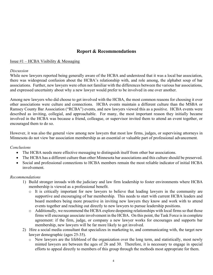# Report & Recommendations

#### Issue  $#1$  – HCBA Visibility & Messaging

#### Discussion

While new lawyers reported being generally aware of the HCBA and understood that it was a local bar association, there was widespread confusion about the HCBA's relationship with, and role among, the alphabet soup of bar associations. Further, new lawyers were often not familiar with the differences between the various bar associations, and expressed uncertainty about why a new lawyer would prefer to be involved in one over another.

Among new lawyers who did choose to get involved with the HCBA, the most common reasons for choosing it over other associations were culture and connections. HCBA events maintain a different culture than the MSBA or Ramsey County Bar Association ("RCBA") events, and new lawyers viewed this as a positive. HCBA events were described as inviting, collegial, and approachable. For many, the most important reason they initially became involved in the HCBA was because a friend, colleague, or supervisor invited them to attend an event together, or encouraged them to do so.

However, it was also the general view among new lawyers that most law firms, judges, or supervising attorneys in Minnesota do not view bar association membership as an essential or valuable part of professional advancement.

#### Conclusions

- The HCBA needs more effective messaging to distinguish itself from other bar associations.
- The HCBA has a different culture than other Minnesota bar associations and this culture should be preserved.
- Social and professional connections to HCBA members remain the most reliable indicator of initial HCBA involvement.

#### Recommendations

- 1) Build stronger inroads with the judiciary and law firm leadership to foster environments where HCBA membership is viewed as a professional benefit.
	- o It is critically important for new lawyers to believe that leading lawyers in the community are supportive and encouraging of bar membership. This needs to start with current HCBA leaders and board members being more proactive in inviting new lawyers they know and work with to attend events together and reaching out directly to new lawyers to pursue leadership positions.
	- o Additionally, we recommend the HCBA explore deepening relationships with local firms so that those firms will encourage associate involvement in the HCBA. On this point, the Task Force is in complete agreement: if the firm, judge, or company a new lawyer works for encourages and supports bar membership, new lawyers will be far more likely to get involved.
- 2) Hire a social media consultant that specializes in marketing to, and communicating with, the target new lawyer demographic (ages 25-35).
	- o New lawyers are the lifeblood of the organization over the long term, and statistically, most newly minted lawyers are between the ages of 26 and 30. Therefore, it is necessary to engage in special efforts to appeal directly to members of this group through the methods most appropriate for them.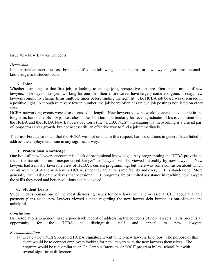Issue #2 – New Lawyer Concerns

#### Discussion

In no particular order, the Task Force identified the following as top concerns for new lawyers: jobs, professional knowledge, and student loans.

# A. Jobs:

Whether searching for that first job, or looking to change jobs, prospective jobs are often on the minds of new lawyers. The days of lawyers working for one firm their entire career have largely come and gone. Today, new lawyers commonly change firms multiple times before finding the right fit. The HCBA job board was discussed in a positive light. Although relatively few in number, the job board often has unique job postings not listed on other sites.

HCBA networking events were also discussed at length. New lawyers view networking events as valuable in the long term, but not helpful for job searches in the short term, particularly for recent graduates. This is consistent with the HCBA and the HCBA New Lawyers Section's (the "HCBA NLS") messaging that networking is a crucial part of long-term career growth, but not necessarily an effective way to find a job immediately.

The Task Force also noted that the HCBA was not unique in this respect; bar associations in general have failed to address the employment issue in any significant way.

# B. Professional Knowledge:

One issue all new lawyers encounter is a lack of professional knowledge. Any programming the HCBA provides to speed the transition from "inexperienced lawyer" to "lawyer" will be viewed favorably by new lawyers. New lawyers had a mostly favorable view of HCBA's current programming, but there was some confusion about which events were MSBA and which were HCBA, since they are at the same facility and every CLE is stand-alone. More generally, the Task Force believes that occasional CLE programs are of limited assistance in teaching new lawyers the skills they need and better solutions can be devised.

# C. Student Loans:

Student loans remain one of the most distressing issues for new lawyers. The occasional CLE about available payment plans aside, new lawyers viewed silence regarding the new lawyer debt burden as out-of-touch and unhelpful.

# Conclusions

Bar associations in general have a poor track record of addressing the concerns of new lawyers. This presents an opportunity for the HCBA to distinguish itself and appeal to new lawyers.

# Recommendations

1) Create a new NLS Sponsored HCBA Signature Event to help new lawyers find jobs. The purpose of this event would be to connect employers looking for new lawyers with the new lawyers themselves. The program would be run similar to an On Campus Interview or "OCI" program in law school, but with several significant differences.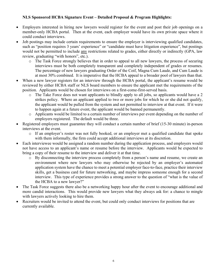# NLS Sponsored HCBA Signature Event – Detailed Proposal & Program Highlights:

- Employers interested in hiring new lawyers would register for the event and post their job openings on a member-only HCBA portal. Then at the event, each employer would have its own private space where it could conduct interviews.
- Job postings may include certain requirements to ensure the employer is interviewing qualified candidates, such as "position requires 3 years' experience" or "candidate must have litigation experience", but postings would not be permitted to include any restrictions related to grades, either directly or indirectly (GPA, law review, graduating "with honors", etc.).
	- o The Task Force strongly believes that in order to appeal to all new lawyers, the process of securing interviews must be both completely transparent and completely independent of grades or resumes. The percentage of new lawyers graduating Order of the Coif, Magna Cum Laude, and Cum Laude is at most 30% combined. It is imperative that the HCBA appeal to a broader pool of lawyers than that.
- When a new lawyer registers for an interview through the HCBA portal, the applicant's resume would be reviewed by either HCBA staff or NLS board members to ensure the applicant met the requirements of the position. Applicants would be chosen for interviews on a first-come-first-served basis.
	- o The Take Force does not want applicants to blindly apply to all jobs, so applicants would have a 2 strikes policy. Where an applicant applied to two or more jobs for which he or she did not qualify, the applicant would be pulled from the system and not permitted to interview at that event. If it were to happen again at a future event, the applicant would be banned permanently.
	- o Applicants would be limited to a certain number of interviews per event depending on the number of employers registered. The default would be three.
- Registered employers must guarantee they will conduct a certain number of brief (15-30 minute) in-person interviews at the event.
	- o If an employer's roster was not fully booked, or an employer met a qualified candidate that spoke with them informally, the firm could accept additional interviews at its discretion.
- Each interviewee would be assigned a random number during the application process, and employers would not have access to an applicant's name or resume before the interview. Applicants would be expected to bring a copy of their resume to the interview and deliver it at that time.
	- o By disconnecting the interview process completely from a person's name and resume, we create an environment where new lawyers who may otherwise be rejected by an employer's automated application system have the chance to meet a potential employer face-to-face, practice their interview skills, get a business card for future networking, and maybe impress someone enough for a second interview. This type of experience provides a strong answer to the question of "what is the value of the HCBA to a new lawyer?"
- The Task Force suggests there also be a networking happy hour after the event to encourage additional and more candid interactions. This would provide new lawyers what they always ask for: a chance to mingle with lawyers actively looking to hire them.
- Recruiters would be invited to attend the event, but could only conduct interviews for positions that are currently available.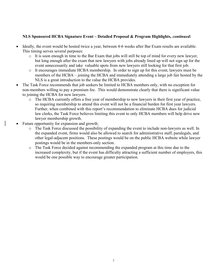# NLS Sponsored HCBA Signature Event – Detailed Proposal & Program Highlights, continued:

- Ideally, the event would be hosted twice a year, between 4-6 weeks after Bar Exam results are available. This timing serves several purposes:
	- o It is soon enough in time to the Bar Exam that jobs will still be top of mind for every new lawyer, but long enough after the exam that new lawyers with jobs already lined up will not sign up for the event unnecessarily and take valuable spots from new lawyers still looking for that first job.
	- o It encourages immediate HCBA membership. In order to sign up for this event, lawyers must be members of the HCBA – joining the HCBA and immediately attending a large job fair hosted by the NLS is a great introduction to the value the HCBA provides.
- The Task Force recommends that job seekers be limited to HCBA members only, with no exception for non-members willing to pay a premium fee. This would demonstrate clearly that there is significant value to joining the HCBA for new lawyers.
	- o The HCBA currently offers a free year of membership to new lawyers in their first year of practice, so requiring membership to attend this event will not be a financial burden for first year lawyers. Further, when combined with this report's recommendation to eliminate HCBA dues for judicial law clerks, the Task Force believes limiting this event to only HCBA members will help drive new lawyer membership growth.
- Future opportunity for expansion and growth:
	- o The Task Force discussed the possibility of expanding the event to include non-lawyers as well. In the expanded event, firms would also be allowed to search for administrative staff, paralegals, and other legal-adjacent positions. These postings would be on the public HCBA website while lawyer postings would be in the members-only section.
	- o The Task Force decided against recommending the expanded program at this time due to the increased complexity, but if the event has difficulty attracting a sufficient number of employers, this would be one possible way to encourage greater participation.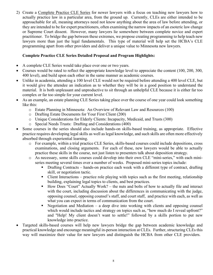2) Create a Complete Practice CLE Series for newer lawyers with a focus on teaching new lawyers how to actually practice law in a particular area, from the ground up. Currently, CLEs are either intended to be approachable for all, meaning attorneys need not know anything about the area of law before attending, or they are intended to be for expert practitioners, often examining the narrow impacts of an esoteric law change or Supreme Court dissent. However, many lawyers lie somewhere between complete novice and expert practitioner. To bridge the gap between these extremes, we propose creating programming to help teach new lawyers more than just the legal fundamentals. This type of material will help set the HCBA's CLE programming apart from other providers and deliver a unique value to Minnesota new lawyers.

# Complete Practice CLE Series Detailed Proposal and Program Highlights:

- A complete CLE Series would take place over one or two years.
- Courses would be rated to reflect the appropriate knowledge level to appreciate the content (100, 200, 300, 400 level), and build upon each other in the same manner as academic courses.
- Unlike in academia, attending a 100 level CLE would not be required before attending a 400 level CLE, but it would give the attendee an indication as to whether they will be in a good position to understand the material. It is both unpleasant and unproductive to sit through an unhelpful CLE because it is either far too complex or far too simple for your current level.
- As an example, an estate planning CLE Series taking place over the course of one year could look something like this:
	- o Estate Planning in Minnesota: An Overview of Relevant Law and Resources (100)
	- o Drafting Estate Documents for Your First Client (200)
	- o Unique Considerations for Elderly Clients: Incapacity, Medicaid, and Trusts (300)
	- o Special Needs Trusts: Drafting and Considerations (400)
- Some courses in the series should also include hands-on skills-based training, as appropriate. Effective practice requires developing legal skills as well as legal knowledge, and such skills are often more effectively absorbed through experiential learning.
	- o For example, within a trial practice CLE Series, skills-based courses could include depositions, cross examinations, and closing arguments. For each of these, new lawyers would be able to actually practice these skills in the course, not just listen to presenters talk about deposition strategy.
	- o As necessary, some skills courses could develop into their own CLE "mini-series," with each miniseries meeting several times over a number of weeks. Proposed mini-series topics include:
		- Drafting Contracts hands-on practice each week with a different type of contract, drafting skill, or negotiation tactic.
		- $\blacksquare$  Client Interactions practice role playing with topics such as the first meeting, relationship building, explaining legal topics to clients, and best practices.
		- How Does "Court" Actually Work? the nuts and bolts of how to actually file and interact with the court, including discussion about the differences in communicating with the judge, opposing counsel, opposing counsel's staff, and court staff, and practice with each, as well as what you can expect in terms of communication from the court.
		- Negotiation and Mediation a deep dive into working with clients and opposing counsel which would include tactics and strategy on topics such as, "how much do I reveal upfront?" and "Help! My client doesn't want to settle!" followed by a skills portion to put new knowledge into practice.
- Targeted skills-based courses will help new lawyers bridge the gap between academic knowledge and practical knowledge and encourage meaningful in-person interaction at CLEs. Further, structuring CLEs this way will maximize their value for new lawyers and distinguish the HCBA from other CLE providers.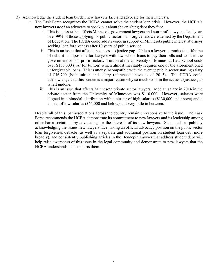- 3) Acknowledge the student loan burden new lawyers face and advocate for their interests.
	- o The Task Force recognizes the HCBA cannot solve the student loan crisis. However, the HCBA's new lawyers need an advocate to speak out about the crushing debt they face.
		- i. This is an issue that affects Minnesota government lawyers and non-profit lawyers. Last year, over 99% of those applying for public sector loan forgiveness were denied by the Department of Education. The HCBA could add its voice in support of Minnesota public interest attorneys seeking loan forgiveness after 10 years of public service.
		- ii. This is an issue that affects the access to justice gap. Unless a lawyer commits to a lifetime of debt, it is impossible for lawyers with law school loans to pay their bills and work in the government or non-profit sectors. Tuition at the University of Minnesota Law School costs over \$150,000 (just for tuition) which almost inevitably requires one of the aforementioned unforgiveable loans. This is utterly incompatible with the average public sector starting salary of \$46,700 (both tuition and salary referenced above as of 2015). The HCBA could acknowledge that this burden is a major reason why so much work in the access to justice gap is left undone.
		- iii. This is an issue that affects Minnesota private sector lawyers. Median salary in 2014 in the private sector from the University of Minnesota was \$110,000. However, salaries were aligned in a bimodal distribution with a cluster of high salaries (\$130,000 and above) and a cluster of low salaries (\$65,000 and below) and very little in between.

Despite all of this, bar associations across the country remain unresponsive to the issue. The Task Force recommends the HCBA demonstrate its commitment to new lawyers and its leadership among other bar associations by advocating for the interests of its new lawyers. Steps such as publicly acknowledging the issues new lawyers face, taking an official advocacy position on the public sector loan forgiveness debacle (as well as a separate and additional position on student loan debt more broadly), and consistently publishing articles in the Hennepin Lawyer that address student debt will help raise awareness of this issue in the legal community and demonstrate to new lawyers that the HCBA understands and supports them.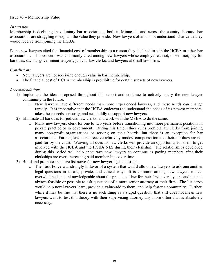# Issue #3 – Membership Value

### **Discussion**

Membership is declining in voluntary bar associations, both in Minnesota and across the country, because bar associations are struggling to explain the value they provide. New lawyers often do not understand what value they would receive from joining the HCBA.

Some new lawyers cited the financial cost of membership as a reason they declined to join the HCBA or other bar associations. This concern was commonly cited among new lawyers whose employer cannot, or will not, pay for bar dues, such as government lawyers, judicial law clerks, and lawyers at small law firms.

### Conclusions

- New lawyers are not receiving enough value in bar membership.
- The financial cost of HCBA membership is prohibitive for certain subsets of new lawyers.

# Recommendations

- 1) Implement the ideas proposed throughout this report and continue to actively query the new lawyer community in the future.
	- o New lawyers have different needs than more experienced lawyers, and these needs can change rapidly. It is imperative that the HCBA endeavors to understand the needs of its newest members, takes these needs seriously, and acts boldly to support new lawyers.
- 2) Eliminate all bar dues for judicial law clerks, and work with the MSBA to do the same.
	- o Many new lawyers clerk for one to two years before transitioning into more permanent positions in private practice or in government. During this time, ethics rules prohibit law clerks from joining many non-profit organizations or serving on their boards, but there is an exception for bar associations. Further, law clerks receive relatively modest compensation and their bar dues are not paid for by the court. Waiving all dues for law clerks will provide an opportunity for them to get involved with the HCBA and the HCBA NLS during their clerkship. The relationships developed during this period will help encourage new lawyers to continue as paying members after their clerkships are over, increasing paid memberships over time.
- 3) Build and promote an active list-serve for new lawyer legal questions.
	- o The Task Force was strongly in favor of a system that would allow new lawyers to ask one another legal questions in a safe, private, and ethical way. It is common among new lawyers to feel overwhelmed and unknowledgeable about the practice of law for their first several years, and it is not always feasible or possible to ask questions of a more senior attorney at their firm. The list-serve would help new lawyers learn, provide a value-add to them, and help foster a community. Further, while it may be true that there is no such thing as a stupid question, that still does not mean new lawyers want to test this theory with their supervising attorney any more often than is absolutely necessary.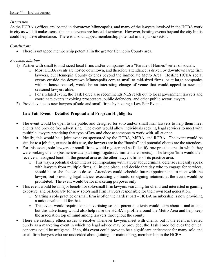# Issue  $#4$  – Inclusiveness

# Discussion

As the HCBA's offices are located in downtown Minneapolis, and many of the lawyers involved in the HCBA work in city as well, it makes sense that most events are hosted downtown. However, hosting events beyond the city limits could help drive attendance. There is also untapped membership potential in the public sector.

# Conclusions

There is untapped membership potential in the greater Hennepin County area.

# Recommendations

- 1) Partner with small to mid-sized local firms and/or companies for a "Parade of Homes" series of socials.
	- o Most HCBA events are hosted downtown, and therefore attendance is driven by downtown large firm lawyers, but Hennepin County extends beyond the immediate Metro Area. Hosting HCBA social events outside the downtown Minneapolis core at small to mid-sized firms, or at large companies with in-house counsel, would be an interesting change of venue that would appeal to new and seasoned lawyers alike.
	- o For a related event, the Task Force also recommends NLS reach out to local government lawyers and coordinate events involving prosecutors, public defenders, and other public sector lawyers.
- 2) Provide value to new lawyers of solo and small firms by hosting a Law Fair Event.

# Law Fair Event – Detailed Proposal and Program Highlights:

- The event would be open to the public and designed for solo and/or small firm lawyers to help them meet clients and provide free advertising. The event would allow individuals seeking legal services to meet with multiple lawyers practicing that type of law and choose someone to work with, all at once.
- Ideally, this would be a joint event co-sponsored by the HCBA, MSBA, and RCBA. The event would be similar to a job fair, except in this case, the lawyers are in the "booths" and potential clients are the attendees.
- For this event, solo lawyers or small firms would register and self-identify *one* practice area in which they were seeking clients (business/estate planning/litigation/criminal defense/etc.). The lawyer/firm would then receive an assigned booth in the general area as the other lawyers/firms of its practice area.
	- o This way, a potential client interested in speaking with lawyer about criminal defense can easily speak with lawyers from multiple firms, all in one place, and decide that day who to engage for services, should he or she choose to do so. Attendees could schedule future appointments to meet with the lawyer, but providing legal advice, executing contracts, or signing retainers at the event would be prohibited. The event would be for marketing purposes only.
- This event would be a major benefit for solo/small firm lawyers searching for clients and interested in gaining exposure, and particularly for new solo/small firm lawyers responsible for their own lead generation.
	- o Starting a solo practice or small firm is often the hardest part HCBA membership is now providing a unique value-add for that.
	- o This event would require some advertising so that potential clients would learn about it and attend, but this advertising would also help raise the HCBA's profile around the Metro Area and help keep the association top of mind among lawyers throughout the county.
- There are certainly ethics issues to resolve whenever lawyers meet with clients, but if the event is treated purely as a marketing event in which no legal advice may be provided, the Task Force believes the ethical concerns could be mitigated. If so, this event could prove to be a significant enticement for many solo and small firm lawyers who are undecided about joining, or maintaining, membership in the HCBA.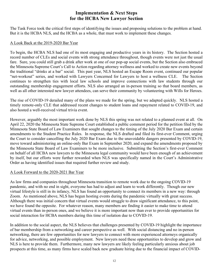# Implementation & Next Steps for the HCBA New Lawyer Section

The Task Force took the critical first steps of identifying the issues and proposing solutions to the problem at hand. But it is the HCBA NLS, and the HCBA as a whole, that must work to implement these changes.

#### A Look Back at the 2019-2020 Bar Year

To begin, the HCBA NLS had one of its most engaging and productive years in its history. The Section hosted a record number of CLEs and social events with strong attendance throughout, though events were not just the usual fare. Sure, you could still grab a drink after work at one of our pop-up social events, but the Section also embraced the Minnesota Supreme Court's Call to Action regarding attorney wellness and worked to create new events beyond the traditional "drinks at a bar" social. This past year, NLS hosted an Escape Room event, continued our popular "net-workout" series, and worked with Lawyers Concerned for Lawyers to host a wellness CLE. The Section continues to strengthen ties with local law schools and improve connections with law students through our outstanding membership engagement efforts. NLS also arranged an in-person training so that board members, as well as all other interested new lawyer attendees, can serve their community by volunteering with Wills for Heroes.

The rise of COVID-19 derailed many of the plans we made for the spring, but we adapted quickly. NLS hosted a timely remote-only CLE that addressed recent changes to student loans and repayment related to COVID-19, and also hosted a well-received virtual trivia event.

However, arguably the most important work done by NLS this spring was not related to a planned event at all. On April 22, 2020 the Minnesota State Supreme Court established a public comment period for the petition filed by the Minnesota State Board of Law Examiners that sought changes to the timing of the July 2020 Bar Exam and certain amendments to the Student Practice Rules. In response, the NLS drafted and filed its first-ever Comment, urging the Court to consider cancelling the July 2020 Bar Exam due to the unavoidable dangers presented by COVID-19, move toward administering an online-only Bar Exam in September 2020, and expand the amendments proposed by the Minnesota State Board of Law Examiners to be more inclusive. Submitting the Section's first-ever Comment on behalf of all HCBA new lawyers to the Minnesota legal community would have been enough of an achievement by itself, but our efforts were further rewarded when NLS was specifically named in the Court's Administrative Order as having identified issues that required further review and study.

# A Look Forward to the 2020-2021 Bar Year

As law firms and companies throughout Minnesota transition to remote work due to the ongoing COVID-19 pandemic, and with no end in sight, everyone has had to adjust and learn to work differently. Though our new virtual lifestyle is still in its infancy, NLS has found an opportunity to connect its members in a new way: through Zoom. As mentioned above, NLS has begun hosting events during the pandemic virtually with great success. Although there was initial concern that virtual events would struggle to draw significant attendance, to this point, we have found the opposite. For whatever reason, many members are finding it easier to make time to attend virtual events than in-person ones, and we believe it is more important now than ever to provide opportunities for social interaction for HCBA members during this time of isolation due to COVID-19.

In addition to the social aspect, the NLS believes that challenges presented by COVID-19 highlight the importance of bar membership from a networking and career perspective as well. With social distancing and no in-person networking, there are few opportunities for new lawyers to connect with more experienced attorneys organically for advice, networking, and possible employment. New lawyers need these opportunities to develop and grow and NLS is here to provide them. Furthermore, many new lawyers are likely feeling particularly anxious about job prospects at this time, as many firms have scaled back new graduate hiring due to the financial impact of COVID-